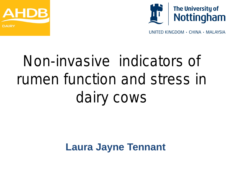



UNITED KINGDOM · CHINA · MALAYSIA

# Non-invasive indicators of rumen function and stress in dairy cows

## **Laura Jayne Tennant**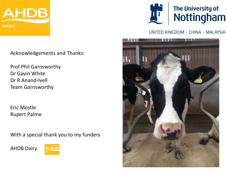

Acknowledgements and Thanks:

Prof Phil Garnsworthy Dr Gavin White Dr R Anand-Ivell Team Garnsworthy

Eric Mostle Rupert Palme

With a special thank you to my funders

AHDB Dairy





UNITED KINGDOM · CHINA · MALAYSIA

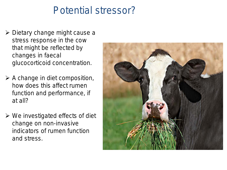#### Potential stressor?

- $\triangleright$  Dietary change might cause a stress response in the cow that might be reflected by changes in faecal glucocorticoid concentration.
- $\triangleright$  A change in diet composition, how does this affect rumen function and performance, if at all?
- $\triangleright$  We investigated effects of diet change on non-invasive indicators of rumen function and stress.

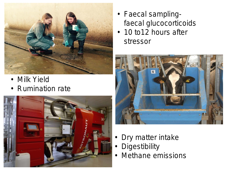

- Milk Yield
- Rumination rate



- Faecal samplingfaecal glucocorticoids
- 10 to12 hours after stressor



- Dry matter intake
- **Digestibility**
- Methane emissions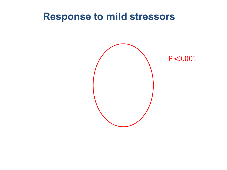#### **Response to mild stressors**



 $P < 0.001$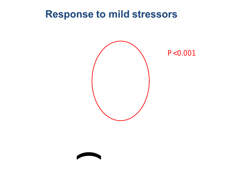#### **Response to mild stressors**





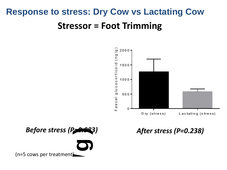## **Response to stress: Dry Cow vs Lactating Cow Stressor = Foot Trimming**



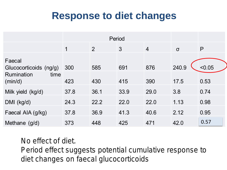## **Response to diet changes**

|                                  |      | Period         |      |                |          |        |
|----------------------------------|------|----------------|------|----------------|----------|--------|
|                                  | 1    | $\overline{2}$ | 3    | $\overline{4}$ | $\sigma$ | P      |
| Faecal<br>Glucocorticoids (ng/g) | 300  | 585            | 691  | 876            | 240.9    | < 0.05 |
| Rumination<br>time<br>(min/d)    | 423  | 430            | 415  | 390            | 17.5     | 0.53   |
| Milk yield (kg/d)                | 37.8 | 36.1           | 33.9 | 29.0           | 3.8      | 0.74   |
| $DMI$ (kg/d)                     | 24.3 | 22.2           | 22.0 | 22.0           | 1.13     | 0.98   |
| Faecal AIA (g/kg)                | 37.8 | 36.9           | 41.3 | 40.6           | 2.12     | 0.95   |
| Methane $(g/d)$                  | 373  | 448            | 425  | 471            | 42.0     | 0.57   |

*No effect of diet. Period effect suggests potential cumulative response to diet changes on faecal glucocorticoids*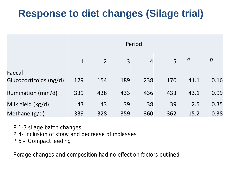## **Response to diet changes (Silage trial)**

|                                  | Period      |                |                |                |     |          |                  |  |  |  |
|----------------------------------|-------------|----------------|----------------|----------------|-----|----------|------------------|--|--|--|
|                                  | $\mathbf 1$ | $\overline{2}$ | $\overline{3}$ | $\overline{4}$ | 5   | $\sigma$ | $\boldsymbol{p}$ |  |  |  |
| Faecal<br>Glucocorticoids (ng/d) | 129         | 154            | 189            | 238            | 170 | 41.1     | 0.16             |  |  |  |
| Rumination (min/d)               | 339         | 438            | 433            | 436            | 433 | 43.1     | 0.99             |  |  |  |
| Milk Yield (kg/d)                | 43          | 43             | 39             | 38             | 39  | 2.5      | 0.35             |  |  |  |
| Methane $(g/d)$                  | 339         | 328            | 359            | 360            | 362 | 15.2     | 0.38             |  |  |  |

*P 1-3 silage batch changes P 4- Inclusion of straw and decrease of molasses P 5 – Compact feeding* 

*Forage changes and composition had no effect on factors outlined*